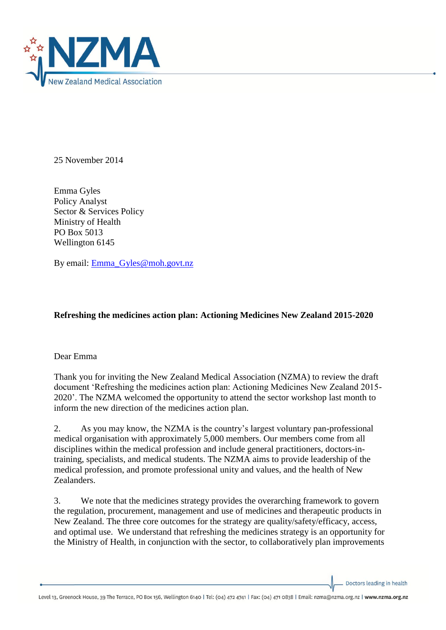

25 November 2014

Emma Gyles Policy Analyst Sector & Services Policy Ministry of Health PO Box 5013 Wellington 6145

By email: [Emma\\_Gyles@moh.govt.nz](mailto:Emma_Gyles@moh.govt.nz)

# **Refreshing the medicines action plan: Actioning Medicines New Zealand 2015-2020**

## Dear Emma

Thank you for inviting the New Zealand Medical Association (NZMA) to review the draft document 'Refreshing the medicines action plan: Actioning Medicines New Zealand 2015- 2020'. The NZMA welcomed the opportunity to attend the sector workshop last month to inform the new direction of the medicines action plan.

2. As you may know, the NZMA is the country's largest voluntary pan-professional medical organisation with approximately 5,000 members. Our members come from all disciplines within the medical profession and include general practitioners, doctors-intraining, specialists, and medical students. The NZMA aims to provide leadership of the medical profession, and promote professional unity and values, and the health of New Zealanders.

3. We note that the medicines strategy provides the overarching framework to govern the regulation, procurement, management and use of medicines and therapeutic products in New Zealand. The three core outcomes for the strategy are quality/safety/efficacy, access, and optimal use. We understand that refreshing the medicines strategy is an opportunity for the Ministry of Health, in conjunction with the sector, to collaboratively plan improvements

Doctors leading in health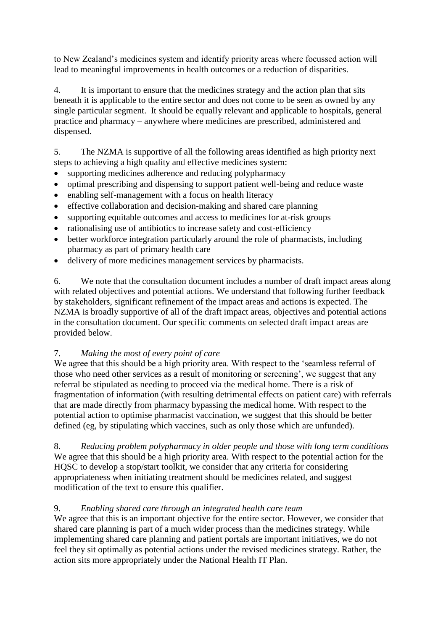to New Zealand's medicines system and identify priority areas where focussed action will lead to meaningful improvements in health outcomes or a reduction of disparities.

4. It is important to ensure that the medicines strategy and the action plan that sits beneath it is applicable to the entire sector and does not come to be seen as owned by any single particular segment. It should be equally relevant and applicable to hospitals, general practice and pharmacy – anywhere where medicines are prescribed, administered and dispensed.

5. The NZMA is supportive of all the following areas identified as high priority next steps to achieving a high quality and effective medicines system:

- supporting medicines adherence and reducing polypharmacy
- optimal prescribing and dispensing to support patient well-being and reduce waste
- enabling self-management with a focus on health literacy
- effective collaboration and decision-making and shared care planning
- supporting equitable outcomes and access to medicines for at-risk groups
- rationalising use of antibiotics to increase safety and cost-efficiency
- better workforce integration particularly around the role of pharmacists, including pharmacy as part of primary health care
- delivery of more medicines management services by pharmacists.

6. We note that the consultation document includes a number of draft impact areas along with related objectives and potential actions. We understand that following further feedback by stakeholders, significant refinement of the impact areas and actions is expected. The NZMA is broadly supportive of all of the draft impact areas, objectives and potential actions in the consultation document. Our specific comments on selected draft impact areas are provided below.

## 7. *Making the most of every point of care*

We agree that this should be a high priority area. With respect to the 'seamless referral of those who need other services as a result of monitoring or screening', we suggest that any referral be stipulated as needing to proceed via the medical home. There is a risk of fragmentation of information (with resulting detrimental effects on patient care) with referrals that are made directly from pharmacy bypassing the medical home. With respect to the potential action to optimise pharmacist vaccination, we suggest that this should be better defined (eg, by stipulating which vaccines, such as only those which are unfunded).

8. *Reducing problem polypharmacy in older people and those with long term conditions* We agree that this should be a high priority area. With respect to the potential action for the HQSC to develop a stop/start toolkit, we consider that any criteria for considering appropriateness when initiating treatment should be medicines related, and suggest modification of the text to ensure this qualifier.

## 9. *Enabling shared care through an integrated health care team*

We agree that this is an important objective for the entire sector. However, we consider that shared care planning is part of a much wider process than the medicines strategy. While implementing shared care planning and patient portals are important initiatives, we do not feel they sit optimally as potential actions under the revised medicines strategy. Rather, the action sits more appropriately under the National Health IT Plan.